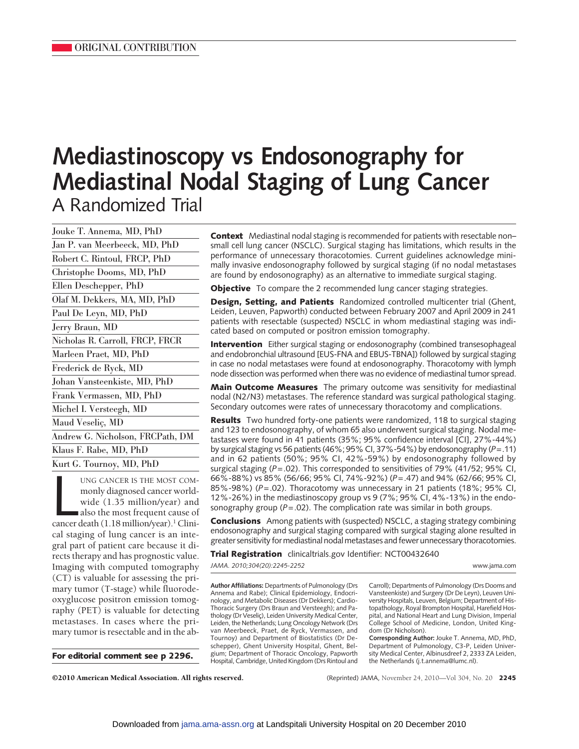# **Mediastinoscopy vs Endosonography for Mediastinal Nodal Staging of Lung Cancer** A Randomized Trial

| Jouke T. Annema, MD, PhD         |
|----------------------------------|
| Jan P. van Meerbeeck, MD, PhD    |
| Robert C. Rintoul, FRCP, PhD     |
| Christophe Dooms, MD, PhD        |
| Ellen Deschepper, PhD            |
| Olaf M. Dekkers, MA, MD, PhD     |
| Paul De Leyn, MD, PhD            |
| Jerry Braun, MD                  |
| Nicholas R. Carroll, FRCP, FRCR  |
| Marleen Praet, MD, PhD           |
| Frederick de Ryck, MD            |
| Johan Vansteenkiste, MD, PhD     |
| Frank Vermassen, MD, PhD         |
| Michel I. Versteegh, MD          |
| Maud Veseliç, MD                 |
| Andrew G. Nicholson, FRCPath, DM |
| Klaus F. Rabe, MD, PhD           |
| Kurt G. Tournoy, MD, PhD         |

UNG CANCER IS THE MOST COM-<br>monly diagnosed cancer world-<br>wide (1.35 million/year) and<br>also the most frequent cause of<br>cancer death (1.18 million/year).<sup>1</sup> Clini-UNG CANCER IS THE MOST COMmonly diagnosed cancer worldwide (1.35 million/year) and also the most frequent cause of cal staging of lung cancer is an integral part of patient care because it directs therapy and has prognostic value. Imaging with computed tomography (CT) is valuable for assessing the primary tumor (T-stage) while fluorodeoxyglucose positron emission tomography (PET) is valuable for detecting metastases. In cases where the primary tumor is resectable and in the ab-

**For editorial comment see p 2296.**

**Context** Mediastinal nodal staging is recommended for patients with resectable non– small cell lung cancer (NSCLC). Surgical staging has limitations, which results in the performance of unnecessary thoracotomies. Current guidelines acknowledge minimally invasive endosonography followed by surgical staging (if no nodal metastases are found by endosonography) as an alternative to immediate surgical staging.

**Objective** To compare the 2 recommended lung cancer staging strategies.

**Design, Setting, and Patients** Randomized controlled multicenter trial (Ghent, Leiden, Leuven, Papworth) conducted between February 2007 and April 2009 in 241 patients with resectable (suspected) NSCLC in whom mediastinal staging was indicated based on computed or positron emission tomography.

**Intervention** Either surgical staging or endosonography (combined transesophageal and endobronchial ultrasound [EUS-FNA and EBUS-TBNA]) followed by surgical staging in case no nodal metastases were found at endosonography. Thoracotomy with lymph node dissection was performed when there was no evidence of mediastinal tumor spread.

**Main Outcome Measures** The primary outcome was sensitivity for mediastinal nodal (N2/N3) metastases. The reference standard was surgical pathological staging. Secondary outcomes were rates of unnecessary thoracotomy and complications.

**Results** Two hundred forty-one patients were randomized, 118 to surgical staging and 123 to endosonography, of whom 65 also underwent surgical staging. Nodal metastases were found in 41 patients (35%; 95% confidence interval [CI], 27%-44%) by surgical staging vs 56 patients (46%; 95% CI, 37%-54%) by endosonography (*P*=.11) and in 62 patients (50%; 95% CI, 42%-59%) by endosonography followed by surgical staging (*P*=.02). This corresponded to sensitivities of 79% (41/52; 95% CI, 66%-88%) vs 85% (56/66; 95% CI, 74%-92%) (*P*=.47) and 94% (62/66; 95% CI, 85%-98%) (*P*=.02). Thoracotomy was unnecessary in 21 patients (18%; 95% CI, 12%-26%) in the mediastinoscopy group vs 9 (7%; 95% CI, 4%-13%) in the endosonography group (*P*=.02). The complication rate was similar in both groups.

**Conclusions** Among patients with (suspected) NSCLC, a staging strategy combining endosonography and surgical staging compared with surgical staging alone resulted in greater sensitivity for mediastinal nodal metastases and fewer unnecessary thoracotomies.

**Trial Registration** clinicaltrials.gov Identifier: NCT00432640

*JAMA. 2010;304(20):2245-2252* www.jama.com

**Author Affiliations:** Departments of Pulmonology (Drs Annema and Rabe); Clinical Epidemiology, Endocrinology, and Metabolic Diseases (Dr Dekkers); Cardio-Thoracic Surgery (Drs Braun and Versteegh); and Pathology (Dr Veseliç), Leiden University Medical Center, Leiden, the Netherlands; Lung Oncology Network (Drs van Meerbeeck, Praet, de Ryck, Vermassen, and Tournoy) and Department of Biostatistics (Dr Deschepper), Ghent University Hospital, Ghent, Belgium; Department of Thoracic Oncology, Papworth Hospital, Cambridge, United Kingdom (Drs Rintoul and Carroll); Departments of Pulmonology (Drs Dooms and Vansteenkiste) and Surgery (Dr De Leyn), Leuven University Hospitals, Leuven, Belgium; Department of Histopathology, Royal Brompton Hospital, Harefield Hospital, and National Heart and Lung Division, Imperial College School of Medicine, London, United Kingdom (Dr Nicholson).

**Corresponding Author:** Jouke T. Annema, MD, PhD, Department of Pulmonology, C3-P, Leiden University Medical Center, Albinusdreef 2, 2333 ZA Leiden, the Netherlands (j.t.annema@lumc.nl).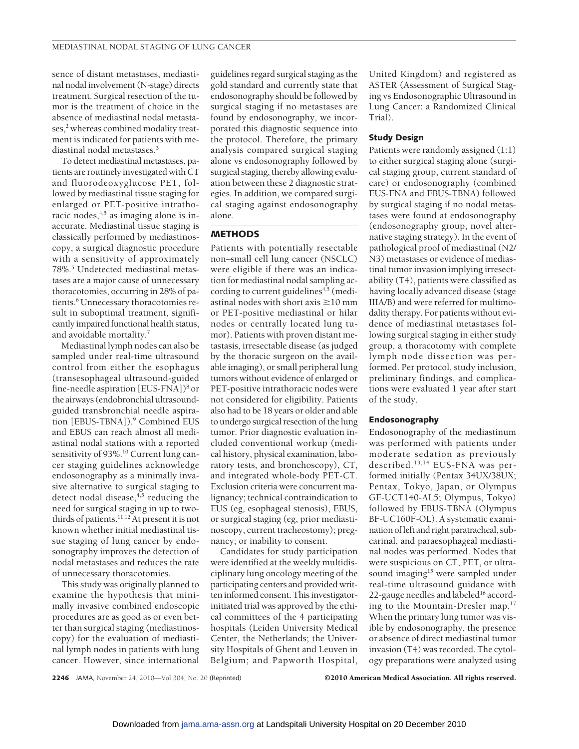sence of distant metastases, mediastinal nodal involvement (N-stage) directs treatment. Surgical resection of the tumor is the treatment of choice in the absence of mediastinal nodal metastases,<sup>2</sup> whereas combined modality treatment is indicated for patients with mediastinal nodal metastases.3

To detect mediastinal metastases, patients are routinely investigated with CT and fluorodeoxyglucose PET, followed by mediastinal tissue staging for enlarged or PET-positive intrathoracic nodes, $4,5$  as imaging alone is inaccurate. Mediastinal tissue staging is classically performed by mediastinoscopy, a surgical diagnostic procedure with a sensitivity of approximately 78%.5 Undetected mediastinal metastases are a major cause of unnecessary thoracotomies, occurring in 28% of patients.<sup>6</sup> Unnecessary thoracotomies result in suboptimal treatment, significantly impaired functional health status, and avoidable mortality.7

Mediastinal lymph nodes can also be sampled under real-time ultrasound control from either the esophagus (transesophageal ultrasound-guided fine-needle aspiration [EUS-FNA])<sup>8</sup> or the airways (endobronchial ultrasoundguided transbronchial needle aspiration [EBUS-TBNA]).<sup>9</sup> Combined EUS and EBUS can reach almost all mediastinal nodal stations with a reported sensitivity of 93%.<sup>10</sup> Current lung cancer staging guidelines acknowledge endosonography as a minimally invasive alternative to surgical staging to detect nodal disease,<sup>4,5</sup> reducing the need for surgical staging in up to twothirds of patients.<sup>11,12</sup> At present it is not known whether initial mediastinal tissue staging of lung cancer by endosonography improves the detection of nodal metastases and reduces the rate of unnecessary thoracotomies.

This study was originally planned to examine the hypothesis that minimally invasive combined endoscopic procedures are as good as or even better than surgical staging (mediastinoscopy) for the evaluation of mediastinal lymph nodes in patients with lung cancer. However, since international

guidelines regard surgical staging as the gold standard and currently state that endosonography should be followed by surgical staging if no metastases are found by endosonography, we incorporated this diagnostic sequence into the protocol. Therefore, the primary analysis compared surgical staging alone vs endosonography followed by surgical staging, thereby allowing evaluation between these 2 diagnostic strategies. In addition, we compared surgical staging against endosonography alone.

# **METHODS**

Patients with potentially resectable non–small cell lung cancer (NSCLC) were eligible if there was an indication for mediastinal nodal sampling according to current guidelines<sup>4,5</sup> (mediastinal nodes with short axis  $\geq$ 10 mm or PET-positive mediastinal or hilar nodes or centrally located lung tumor). Patients with proven distant metastasis, irresectable disease (as judged by the thoracic surgeon on the available imaging), or small peripheral lung tumors without evidence of enlarged or PET-positive intrathoracic nodes were not considered for eligibility. Patients also had to be 18 years or older and able to undergo surgical resection of the lung tumor. Prior diagnostic evaluation included conventional workup (medical history, physical examination, laboratory tests, and bronchoscopy), CT, and integrated whole-body PET-CT. Exclusion criteria were concurrent malignancy; technical contraindication to EUS (eg, esophageal stenosis), EBUS, or surgical staging (eg, prior mediastinoscopy, current tracheostomy); pregnancy; or inability to consent.

Candidates for study participation were identified at the weekly multidisciplinary lung oncology meeting of the participating centers and provided written informed consent. This investigatorinitiated trial was approved by the ethical committees of the 4 participating hospitals (Leiden University Medical Center, the Netherlands; the University Hospitals of Ghent and Leuven in Belgium; and Papworth Hospital,

United Kingdom) and registered as ASTER (Assessment of Surgical Staging vs Endosonographic Ultrasound in Lung Cancer: a Randomized Clinical Trial).

### **Study Design**

Patients were randomly assigned (1:1) to either surgical staging alone (surgical staging group, current standard of care) or endosonography (combined EUS-FNA and EBUS-TBNA) followed by surgical staging if no nodal metastases were found at endosonography (endosonography group, novel alternative staging strategy). In the event of pathological proof of mediastinal (N2/ N3) metastases or evidence of mediastinal tumor invasion implying irresectability (T4), patients were classified as having locally advanced disease (stage IIIA/B) and were referred for multimodality therapy. For patients without evidence of mediastinal metastases following surgical staging in either study group, a thoracotomy with complete lymph node dissection was performed. Per protocol, study inclusion, preliminary findings, and complications were evaluated 1 year after start of the study.

## **Endosonography**

Endosonography of the mediastinum was performed with patients under moderate sedation as previously described.13,14 EUS-FNA was performed initially (Pentax 34UX/38UX; Pentax, Tokyo, Japan, or Olympus GF-UCT140-AL5; Olympus, Tokyo) followed by EBUS-TBNA (Olympus BF-UC160F-OL). A systematic examination ofleft and right paratracheal, subcarinal, and paraesophageal mediastinal nodes was performed. Nodes that were suspicious on CT, PET, or ultrasound imaging<sup>15</sup> were sampled under real-time ultrasound guidance with 22-gauge needles and labeled $16$  according to the Mountain-Dresler map.17 When the primary lung tumor was visible by endosonography, the presence or absence of direct mediastinal tumor invasion (T4) was recorded. The cytology preparations were analyzed using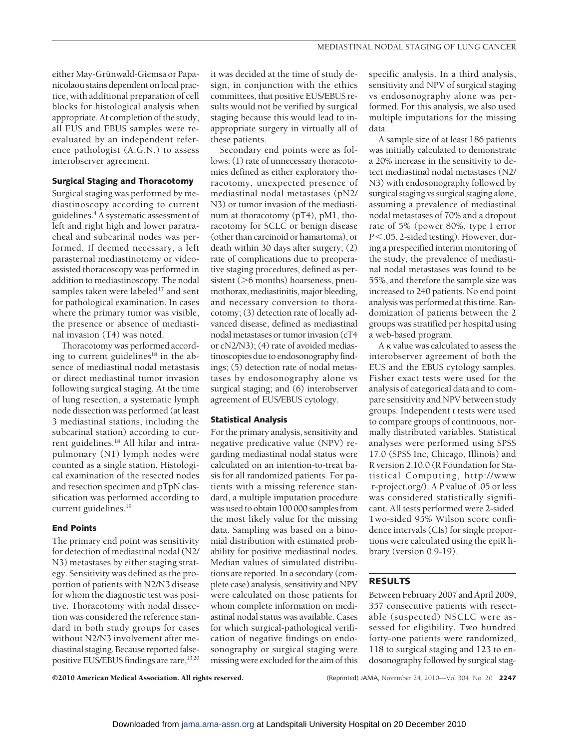either May-Grünwald-Giemsa or Papanicolaou stains dependent onlocal practice, with additional preparation of cell blocks for histological analysis when appropriate. At completion of the study, all EUS and EBUS samples were reevaluated by an independent reference pathologist (A.G.N.) to assess interobserver agreement.

## **Surgical Staging and Thoracotomy**

Surgical staging was performed by mediastinoscopy according to current guidelines.4 A systematic assessment of left and right high and lower paratracheal and subcarinal nodes was performed. If deemed necessary, a left parasternal mediastinotomy or videoassisted thoracoscopy was performed in addition to mediastinoscopy. The nodal samples taken were labeled<sup>17</sup> and sent for pathological examination. In cases where the primary tumor was visible, the presence or absence of mediastinal invasion (T4) was noted.

Thoracotomy was performed according to current guidelines<sup>18</sup> in the absence of mediastinal nodal metastasis or direct mediastinal tumor invasion following surgical staging. At the time of lung resection, a systematic lymph node dissection was performed (at least 3 mediastinal stations, including the subcarinal station) according to current guidelines.<sup>18</sup> All hilar and intrapulmonary (N1) lymph nodes were counted as a single station. Histological examination of the resected nodes and resection specimen and pTpN classification was performed according to current guidelines.<sup>19</sup>

#### **End Points**

The primary end point was sensitivity for detection of mediastinal nodal (N2/ N3) metastases by either staging strategy. Sensitivity was defined as the proportion of patients with N2/N3 disease for whom the diagnostic test was positive. Thoracotomy with nodal dissection was considered the reference standard in both study groups for cases without N2/N3 involvement after mediastinal staging. Because reported falsepositive EUS/EBUS findings are rare,<sup>13,20</sup>

it was decided at the time of study design, in conjunction with the ethics committees, that positive EUS/EBUS results would not be verified by surgical staging because this would lead to inappropriate surgery in virtually all of these patients.

Secondary end points were as follows: (1) rate of unnecessary thoracotomies defined as either exploratory thoracotomy, unexpected presence of mediastinal nodal metastases (pN2/ N3) or tumor invasion of the mediastinum at thoracotomy (pT4), pM1, thoracotomy for SCLC or benign disease (other than carcinoid or hamartoma), or death within 30 days after surgery; (2) rate of complications due to preoperative staging procedures, defined as persistent (>6 months) hoarseness, pneumothorax, mediastinitis, major bleeding, and necessary conversion to thoracotomy; (3) detection rate of locally advanced disease, defined as mediastinal nodal metastases or tumor invasion (cT4 or cN2/N3); (4) rate of avoided mediastinoscopies due to endosonography findings; (5) detection rate of nodal metastases by endosonography alone vs surgical staging; and (6) interobserver agreement of EUS/EBUS cytology.

## **Statistical Analysis**

For the primary analysis, sensitivity and negative predicative value (NPV) regarding mediastinal nodal status were calculated on an intention-to-treat basis for all randomized patients. For patients with a missing reference standard, a multiple imputation procedure was used to obtain 100 000 samples from the most likely value for the missing data. Sampling was based on a binomial distribution with estimated probability for positive mediastinal nodes. Median values of simulated distributions are reported. In a secondary (complete case) analysis, sensitivity and NPV were calculated on those patients for whom complete information on mediastinal nodal status was available. Cases for which surgical-pathological verification of negative findings on endosonography or surgical staging were missing were excluded for the aim of this

specific analysis. In a third analysis, sensitivity and NPV of surgical staging vs endosonography alone was performed. For this analysis, we also used multiple imputations for the missing data.

A sample size of at least 186 patients was initially calculated to demonstrate a 20% increase in the sensitivity to detect mediastinal nodal metastases (N2/ N3) with endosonography followed by surgical staging vs surgical staging alone, assuming a prevalence of mediastinal nodal metastases of 70% and a dropout rate of 5% (power 80%, type I error *P*.05, 2-sided testing). However, during a prespecified interim monitoring of the study, the prevalence of mediastinal nodal metastases was found to be 55%, and therefore the sample size was increased to 240 patients. No end point analysis was performed at this time. Randomization of patients between the 2 groups was stratified per hospital using a web-based program.

 $A$   $\kappa$  value was calculated to assess the interobserver agreement of both the EUS and the EBUS cytology samples. Fisher exact tests were used for the analysis of categorical data and to compare sensitivity and NPV between study groups. Independent *t* tests were used to compare groups of continuous, normally distributed variables. Statistical analyses were performed using SPSS 17.0 (SPSS Inc, Chicago, Illinois) and R version 2.10.0 (R Foundation for Statistical Computing, http://www .r-project.org/). A *P* value of .05 or less was considered statistically significant. All tests performed were 2-sided. Two-sided 95% Wilson score confidence intervals (CIs) for single proportions were calculated using the epiR library (version 0.9-19).

## **RESULTS**

Between February 2007 and April 2009, 357 consecutive patients with resectable (suspected) NSCLC were assessed for eligibility. Two hundred forty-one patients were randomized, 118 to surgical staging and 123 to endosonography followed by surgical stag-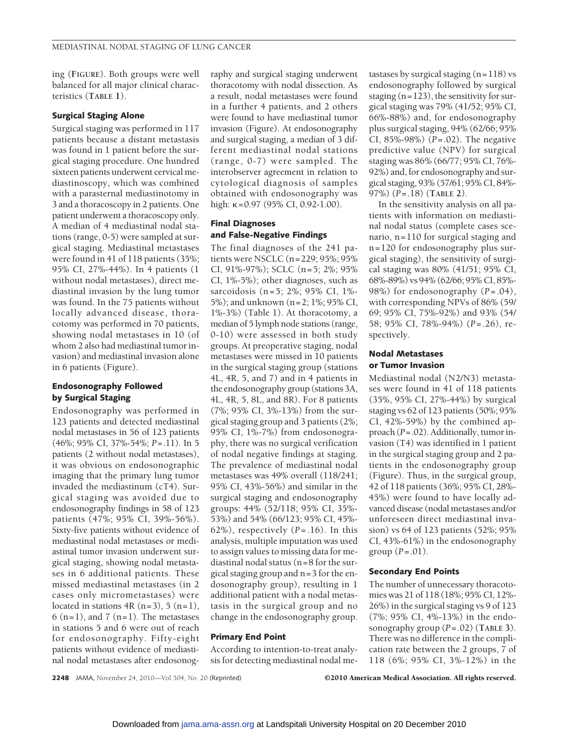ing (**FIGURE**). Both groups were well balanced for all major clinical characteristics (**TABLE 1**).

## **Surgical Staging Alone**

Surgical staging was performed in 117 patients because a distant metastasis was found in 1 patient before the surgical staging procedure. One hundred sixteen patients underwent cervical mediastinoscopy, which was combined with a parasternal mediastinotomy in 3 and a thoracoscopy in 2 patients. One patient underwent a thoracoscopy only. A median of 4 mediastinal nodal stations (range, 0-5) were sampled at surgical staging. Mediastinal metastases were found in 41 of 118 patients (35%; 95% CI, 27%-44%). In 4 patients (1 without nodal metastases), direct mediastinal invasion by the lung tumor was found. In the 75 patients without locally advanced disease, thoracotomy was performed in 70 patients, showing nodal metastases in 10 (of whom 2 also had mediastinal tumor invasion) and mediastinal invasion alone in 6 patients (Figure).

# **Endosonography Followed by Surgical Staging**

Endosonography was performed in 123 patients and detected mediastinal nodal metastases in 56 of 123 patients (46%; 95% CI, 37%-54%; *P*=.11). In 5 patients (2 without nodal metastases), it was obvious on endosonographic imaging that the primary lung tumor invaded the mediastinum (cT4). Surgical staging was avoided due to endosonography findings in 58 of 123 patients (47%; 95% CI, 39%-56%). Sixty-five patients without evidence of mediastinal nodal metastases or mediastinal tumor invasion underwent surgical staging, showing nodal metastases in 6 additional patients. These missed mediastinal metastases (in 2 cases only micrometastases) were located in stations  $4R(n=3)$ , 5  $(n=1)$ ,  $6$  (n=1), and 7 (n=1). The metastases in stations 5 and 6 were out of reach for endosonography. Fifty-eight patients without evidence of mediastinal nodal metastases after endosonography and surgical staging underwent thoracotomy with nodal dissection. As a result, nodal metastases were found in a further 4 patients, and 2 others were found to have mediastinal tumor invasion (Figure). At endosonography and surgical staging, a median of 3 different mediastinal nodal stations (range, 0-7) were sampled. The interobserver agreement in relation to cytological diagnosis of samples obtained with endosonography was high:  $\kappa$ =0.97 (95% CI, 0.92-1.00).

# **Final Diagnoses and False-Negative Findings**

The final diagnoses of the 241 patients were NSCLC (n=229; 95%; 95% CI, 91%-97%); SCLC (n=5; 2%; 95% CI, 1%-5%); other diagnoses, such as sarcoidosis (n=5; 2%; 95% CI, 1%- 5%); and unknown (n=2; 1%; 95% CI, 1%-3%) (Table 1). At thoracotomy, a median of 5 lymph node stations (range, 0-10) were assessed in both study groups. At preoperative staging, nodal metastases were missed in 10 patients in the surgical staging group (stations 4L, 4R, 5, and 7) and in 4 patients in the endosonography group (stations 3A, 4L, 4R, 5, 8L, and 8R). For 8 patients (7%; 95% CI, 3%-13%) from the surgical staging group and 3 patients (2%; 95% CI, 1%-7%) from endosonography, there was no surgical verification of nodal negative findings at staging. The prevalence of mediastinal nodal metastases was 49% overall (118/241; 95% CI, 43%-56%) and similar in the surgical staging and endosonography groups: 44% (52/118; 95% CI, 35%- 53%) and 54% (66/123; 95% CI, 45%- 62%), respectively  $(P=.16)$ . In this analysis, multiple imputation was used to assign values to missing data for mediastinal nodal status (n=8 for the surgical staging group and n=3 for the endosonography group), resulting in 1 additional patient with a nodal metastasis in the surgical group and no change in the endosonography group.

## **Primary End Point**

According to intention-to-treat analysis for detecting mediastinal nodal me-

tastases by surgical staging  $(n=118)$  vs endosonography followed by surgical staging  $(n=123)$ , the sensitivity for surgical staging was 79% (41/52; 95% CI, 66%-88%) and, for endosonography plus surgical staging, 94% (62/66; 95% CI, 85%-98%) (*P*=.02). The negative predictive value (NPV) for surgical staging was 86% (66/77; 95% CI, 76%- 92%) and, for endosonography and surgical staging, 93% (57/61; 95% CI, 84%- 97%) (*P*=.18) (**TABLE 2**).

In the sensitivity analysis on all patients with information on mediastinal nodal status (complete cases scenario, n=110 for surgical staging and n=120 for endosonography plus surgical staging), the sensitivity of surgical staging was 80% (41/51; 95% CI, 68%-89%) vs 94% (62/66; 95% CI, 85%- 98%) for endosonography (*P*=.04), with corresponding NPVs of 86% (59/ 69; 95% CI, 75%-92%) and 93% (54/ 58; 95% CI, 78%-94%) (*P*=.26), respectively.

## **Nodal Metastases or Tumor Invasion**

Mediastinal nodal (N2/N3) metastases were found in 41 of 118 patients (35%, 95% CI, 27%-44%) by surgical staging vs 62 of 123 patients (50%; 95% CI, 42%-59%) by the combined approach (*P*=.02). Additionally, tumor invasion (T4) was identified in 1 patient in the surgical staging group and 2 patients in the endosonography group (Figure). Thus, in the surgical group, 42 of 118 patients (36%; 95% CI, 28%- 45%) were found to have locally advanced disease (nodal metastases and/or unforeseen direct mediastinal invasion) vs 64 of 123 patients (52%; 95% CI, 43%-61%) in the endosonography group  $(P=.01)$ .

## **Secondary End Points**

The number of unnecessary thoracotomies was 21 of 118 (18%; 95% CI, 12%- 26%) in the surgical staging vs 9 of 123 (7%; 95% CI, 4%-13%) in the endosonography group (*P*=.02) (**TABLE 3**). There was no difference in the complication rate between the 2 groups, 7 of 118 (6%; 95% CI, 3%-12%) in the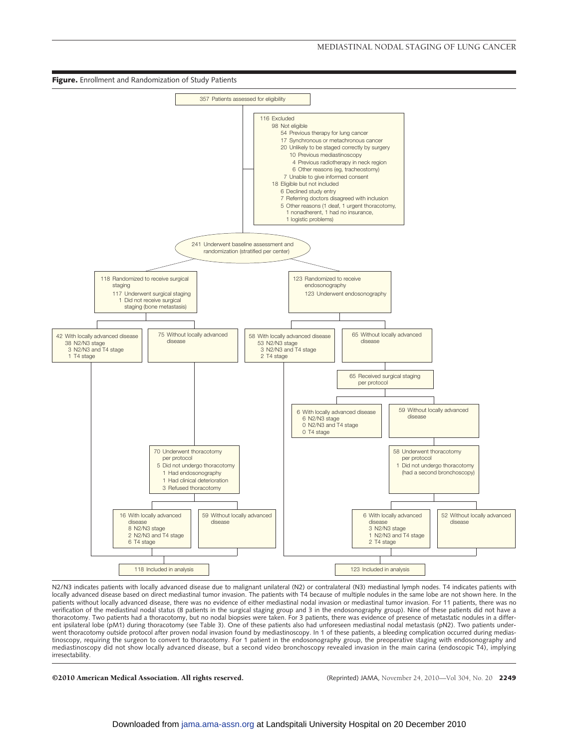

N2/N3 indicates patients with locally advanced disease due to malignant unilateral (N2) or contralateral (N3) mediastinal lymph nodes. T4 indicates patients with locally advanced disease based on direct mediastinal tumor invasion. The patients with T4 because of multiple nodules in the same lobe are not shown here. In the patients without locally advanced disease, there was no evidence of either mediastinal nodal invasion or mediastinal tumor invasion. For 11 patients, there was no evidence of either mediastinal nodal invasion or mediastina verification of the mediastinal nodal status (8 patients in the surgical staging group and 3 in the endosonography group). Nine of these patients did not have a thoracotomy. Two patients had a thoracotomy, but no nodal biopsies were taken. For 3 patients, there was evidence of presence of metastatic nodules in a different ipsilateral lobe (pM1) during thoracotomy (see Table 3). One of these patients also had unforeseen mediastinal nodal metastasis (pN2). Two patients underwent thoracotomy outside protocol after proven nodal invasion found by mediastinoscopy. In 1 of these patients, a bleeding complication occurred during mediastinoscopy, requiring the surgeon to convert to thoracotomy. For 1 patient in the endosonography group, the preoperative staging with endosonography and mediastinoscopy did not show locally advanced disease, but a second video bronchoscopy revealed invasion in the main carina (endoscopic T4), implying irresectability.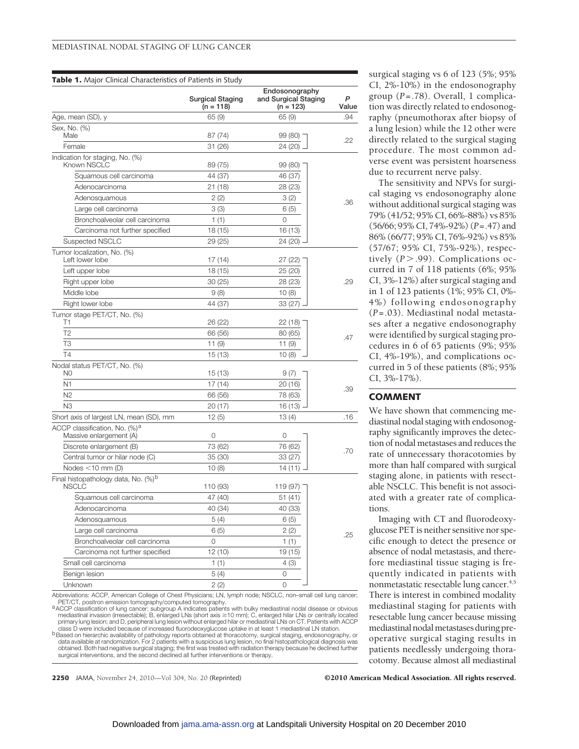|                                                                                                         | Surgical Staging<br>(n = 118) | Endosonography<br>and Surgical Staging<br>$(n = 123)$ | P<br>Value |
|---------------------------------------------------------------------------------------------------------|-------------------------------|-------------------------------------------------------|------------|
| Age, mean (SD), y                                                                                       | 65 (9)                        | 65 (9)                                                | .94        |
| Sex, No. (%)<br>Male                                                                                    | 87 (74)                       | 99 (80)                                               | .22        |
| Female                                                                                                  | 31 (26)                       | 24 (20)                                               |            |
| Indication for staging, No. (%)<br>Known NSCLC                                                          | 89 (75)                       | 99 (80)                                               |            |
| Squamous cell carcinoma                                                                                 | 44 (37)                       | 46 (37)                                               |            |
| Adenocarcinoma                                                                                          | 21 (18)                       | 28 (23)                                               |            |
| Adenosquamous                                                                                           | 2(2)                          | 3 (2)                                                 | .36        |
| Large cell carcinoma                                                                                    | 3(3)                          | 6 (5)                                                 |            |
| Bronchoalveolar cell carcinoma                                                                          | 1(1)                          | 0                                                     |            |
| Carcinoma not further specified                                                                         | 18 (15)                       | 16 (13)                                               |            |
| Suspected NSCLC                                                                                         | 29 (25)                       | 24 (20)                                               |            |
| Tumor localization, No. (%)<br>Left lower lobe                                                          | 17 (14)                       | 27 (22)                                               |            |
| Left upper lobe                                                                                         | 18 (15)                       | 25 (20)                                               |            |
| Right upper lobe                                                                                        | 30 (25)                       | 28 (23)                                               | .29        |
| Middle lobe                                                                                             | 9(8)                          | 10(8)                                                 |            |
| Right lower lobe                                                                                        | 44 (37)                       | 33 (27)                                               |            |
| Tumor stage PET/CT, No. (%)<br>T1                                                                       | 26 (22)                       | 22 (18)                                               |            |
| T <sub>2</sub>                                                                                          | 66 (56)                       | 80 (65)                                               |            |
| ТЗ                                                                                                      | 11(9)                         | 11 (9)                                                | .47        |
| T4                                                                                                      | 15 (13)                       | 10(8)                                                 |            |
| Nodal status PET/CT, No. (%)<br>N0                                                                      |                               |                                                       |            |
| N1                                                                                                      | 15 (13)                       | 9(7)                                                  |            |
| N <sub>2</sub>                                                                                          | 17 (14)                       | 20 (16)                                               | .39        |
| N <sub>3</sub>                                                                                          | 66 (56)<br>20 (17)            | 78 (63)<br>16 (13)                                    |            |
|                                                                                                         | 12(5)                         | 13(4)                                                 | .16        |
| Short axis of largest LN, mean (SD), mm<br>ACCP classification, No. $(\%)^a$<br>Massive enlargement (A) | 0                             | 0                                                     |            |
| Discrete enlargement (B)                                                                                | 73 (62)                       | 76 (62)                                               |            |
| Central tumor or hilar node (C)                                                                         | 35 (30)                       | 33 (27)                                               | .70        |
| Nodes $<$ 10 mm (D)                                                                                     | 10(8)                         | 14 (11)                                               |            |
| Final histopathology data, No. (%) <sup>b</sup>                                                         |                               |                                                       |            |
| <b>NSCLC</b>                                                                                            | 110 (93)                      | 119 (97)                                              |            |
| Squamous cell carcinoma                                                                                 | 47 (40)                       | 51 (41)                                               |            |
| Adenocarcinoma                                                                                          | 40 (34)                       | 40 (33)                                               |            |
| Adenosquamous                                                                                           | 5(4)                          | 6(5)                                                  |            |
| Large cell carcinoma                                                                                    | 6(5)                          | 2(2)                                                  | .25        |
| Bronchoalveolar cell carcinoma                                                                          | 0                             | 1(1)                                                  |            |
| Carcinoma not further specified                                                                         | 12 (10)                       | 19 (15)                                               |            |
| Small cell carcinoma                                                                                    | 1(1)                          | 4 (3)                                                 |            |
| Benign lesion                                                                                           | 5(4)                          | 0                                                     |            |
| Unknown                                                                                                 | 2(2)                          | 0                                                     |            |

Abbreviations: ACCP, American College of Chest Physicians; LN, lymph node; NSCLC, non–small cell lung cancer;

PET/CT, positron emission tomography/computed tomography.<br>
<sup>a</sup>ACCP classification of lung cancer: subgroup A indicates patients with bulky mediastinal nodal disease or obvious mediastinal invasion (irresectable); B, enlarged LNs (short axis ≥10 mm); C, enlarged hilar LNs or centrally located<br>primary lung lesion; and D, peripheral lung lesion without enlarged hilar or mediastinal LNs on CT. Pati

class D were included because of increased fluorodeoxyglucose uptake in at least 1 mediastinal LN station.<br><sup>1</sup> Based on hierarchic availability of pathology reports obtained at thoracotomy, surgical staging, endosonography obtained. Both had negative surgical staging; the first was treated with radiation therapy because he declined further surgical interventions, and the second declined all further interventions or therapy.

surgical staging vs 6 of 123 (5%; 95% CI, 2%-10%) in the endosonography group (*P*=.78). Overall, 1 complication was directly related to endosonography (pneumothorax after biopsy of a lung lesion) while the 12 other were directly related to the surgical staging procedure. The most common adverse event was persistent hoarseness due to recurrent nerve palsy.

The sensitivity and NPVs for surgical staging vs endosonography alone without additional surgical staging was 79% (41/52; 95% CI, 66%-88%) vs 85% (56/66; 95% CI, 74%-92%) (*P*=.47) and 86% (66/77; 95% CI, 76%-92%) vs 85% (57/67; 95% CI, 75%-92%), respectively  $(P > .99)$ . Complications occurred in 7 of 118 patients (6%; 95% CI, 3%-12%) after surgical staging and in 1 of 123 patients (1%; 95% CI, 0%- 4%) following endosonography (*P*=.03). Mediastinal nodal metastases after a negative endosonography were identified by surgical staging procedures in 6 of 65 patients (9%; 95% CI, 4%-19%), and complications occurred in 5 of these patients (8%; 95% CI, 3%-17%).

## **COMMENT**

We have shown that commencing mediastinal nodal staging with endosonography significantly improves the detection of nodal metastases and reduces the rate of unnecessary thoracotomies by more than half compared with surgical staging alone, in patients with resectable NSCLC. This benefit is not associated with a greater rate of complications.

Imaging with CT and fluorodeoxyglucose PET is neither sensitive nor specific enough to detect the presence or absence of nodal metastasis, and therefore mediastinal tissue staging is frequently indicated in patients with nonmetastatic resectable lung cancer.<sup>4,5</sup> There is interest in combined modality mediastinal staging for patients with resectable lung cancer because missing mediastinal nodal metastases during preoperative surgical staging results in patients needlessly undergoing thoracotomy. Because almost all mediastinal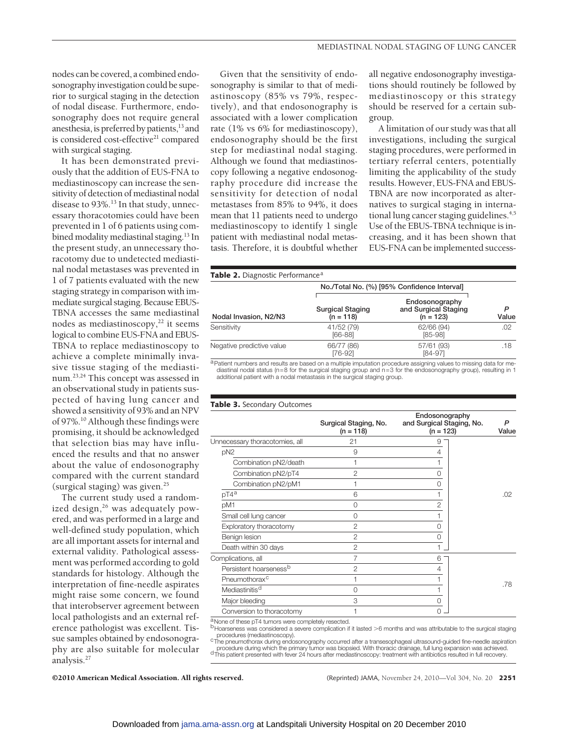nodes can be covered, a combined endosonography investigation could be superior to surgical staging in the detection of nodal disease. Furthermore, endosonography does not require general anesthesia, is preferred by patients, $13$  and is considered cost-effective<sup>21</sup> compared with surgical staging.

It has been demonstrated previously that the addition of EUS-FNA to mediastinoscopy can increase the sensitivity of detection of mediastinal nodal disease to 93%.<sup>13</sup> In that study, unnecessary thoracotomies could have been prevented in 1 of 6 patients using combined modality mediastinal staging.<sup>13</sup> In the present study, an unnecessary thoracotomy due to undetected mediastinal nodal metastases was prevented in 1 of 7 patients evaluated with the new staging strategy in comparison with immediate surgical staging. Because EBUS-TBNA accesses the same mediastinal nodes as mediastinoscopy, $22$  it seems logical to combine EUS-FNA and EBUS-TBNA to replace mediastinoscopy to achieve a complete minimally invasive tissue staging of the mediastinum.23,24 This concept was assessed in an observational study in patients suspected of having lung cancer and showed a sensitivity of 93% and an NPV of 97%.10 Although these findings were promising, it should be acknowledged that selection bias may have influenced the results and that no answer about the value of endosonography compared with the current standard (surgical staging) was given. $^{25}$ 

The current study used a randomized design,<sup>26</sup> was adequately powered, and was performed in a large and well-defined study population, which are all important assets for internal and external validity. Pathological assessment was performed according to gold standards for histology. Although the interpretation of fine-needle aspirates might raise some concern, we found that interobserver agreement between local pathologists and an external reference pathologist was excellent. Tissue samples obtained by endosonography are also suitable for molecular analysis.<sup>27</sup>

Given that the sensitivity of endosonography is similar to that of mediastinoscopy (85% vs 79%, respectively), and that endosonography is associated with a lower complication rate (1% vs 6% for mediastinoscopy), endosonography should be the first step for mediastinal nodal staging. Although we found that mediastinoscopy following a negative endosonography procedure did increase the sensitivity for detection of nodal metastases from 85% to 94%, it does mean that 11 patients need to undergo mediastinoscopy to identify 1 single patient with mediastinal nodal metastasis. Therefore, it is doubtful whether

all negative endosonography investigations should routinely be followed by mediastinoscopy or this strategy should be reserved for a certain subgroup.

A limitation of our study was that all investigations, including the surgical staging procedures, were performed in tertiary referral centers, potentially limiting the applicability of the study results. However, EUS-FNA and EBUS-TBNA are now incorporated as alternatives to surgical staging in international lung cancer staging guidelines.<sup>4,5</sup> Use of the EBUS-TBNA technique is increasing, and it has been shown that EUS-FNA can be implemented success-

|  |  |  | Table 2. Diagnostic Performance <sup>a</sup> |
|--|--|--|----------------------------------------------|
|--|--|--|----------------------------------------------|

| Nodal Invasion, N2/N3     |                                        | No./Total No. (%) [95% Confidence Interval]           | P<br>Value |
|---------------------------|----------------------------------------|-------------------------------------------------------|------------|
|                           | <b>Surgical Staging</b><br>$(n = 118)$ | Endosonography<br>and Surgical Staging<br>$(n = 123)$ |            |
| Sensitivity               | 41/52 (79)<br>$[66-88]$                | 62/66 (94)<br>$[85-98]$                               | .02        |
| Negative predictive value | 66/77 (86)<br>[76-92]                  | 57/61 (93)<br>[84-97]                                 | .18        |

a Patient numbers and results are based on a multiple imputation procedure assigning values to missing data for mediastinal nodal status (n=8 for the surgical staging group and n=3 for the endosonography group), resulting in 1 additional patient with a nodal metastasis in the surgical staging group.

#### **Table 3.** Secondary Outcomes

|                                    | Surgical Staging, No.<br>$(n = 118)$ | Endosonography<br>and Surgical Staging, No.<br>$(n = 123)$ | P<br>Value |
|------------------------------------|--------------------------------------|------------------------------------------------------------|------------|
| Unnecessary thoracotomies, all     | 21                                   | 9                                                          |            |
| pN <sub>2</sub>                    | 9                                    | 4                                                          |            |
| Combination pN2/death              |                                      |                                                            |            |
| Combination pN2/pT4                | $\mathfrak{p}$                       | 0                                                          |            |
| Combination pN2/pM1                |                                      | $\Omega$                                                   |            |
| $pT4^a$                            | 6                                    |                                                            | .02        |
| pM1                                | $\Omega$                             | 2                                                          |            |
| Small cell lung cancer             | $\Omega$                             |                                                            |            |
| Exploratory thoracotomy            | $\mathfrak{p}$                       | 0                                                          |            |
| Benign lesion                      | 2                                    | $\Omega$                                                   |            |
| Death within 30 days               | $\overline{2}$                       |                                                            |            |
| Complications, all                 | 7                                    | 6                                                          |            |
| Persistent hoarseness <sup>b</sup> | $\overline{c}$                       | 4                                                          |            |
| Pneumothorax <sup>c</sup>          |                                      |                                                            | .78        |
| Mediastinitis <sup>d</sup>         | $\Omega$                             |                                                            |            |
| Major bleeding                     | 3                                    | 0                                                          |            |
| Conversion to thoracotomy          |                                      | $\Omega$                                                   |            |
|                                    |                                      |                                                            |            |

a None of these pT4 tumors were completely resected. bHoarseness was considered a severe complication if it lasted >6 months and was attributable to the surgical staging

procedures (mediastinoscopy).<br>CThe pneumothorax during endosonography occurred after a transesophageal ultrasound-guided fine-needle aspiration procedure during which the primary tumor was biopsied. With thoracic drainage, full lung expansion was achieved.<br><sup>d</sup>This patient presented with fever 24 hours after mediastinoscopy: treatment with antibiotics resulted in f